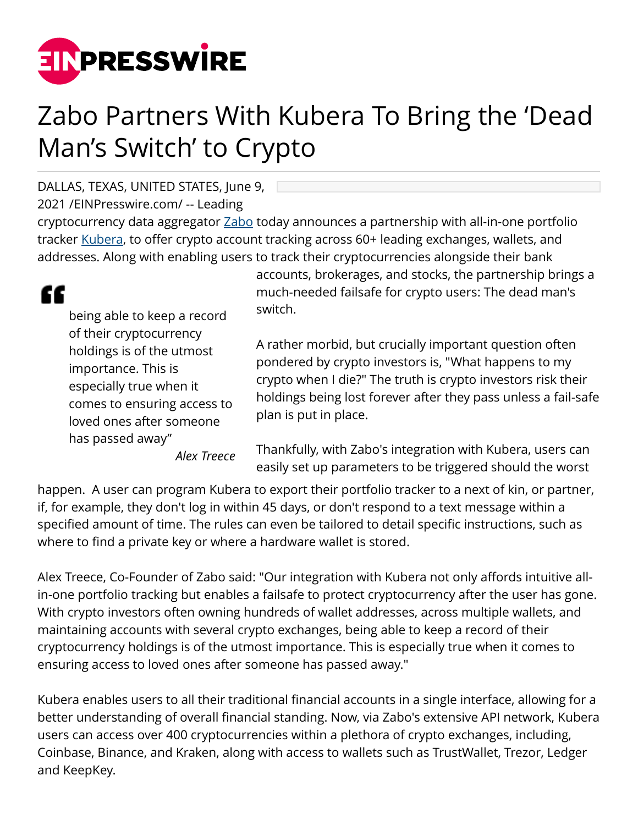

## Zabo Partners With Kubera To Bring the 'Dead Man's Switch' to Crypto

DALLAS, TEXAS, UNITED STATES, June 9,

2021 /[EINPresswire.com](http://www.einpresswire.com)/ -- Leading

cryptocurrency data aggregator [Zabo](http://Zabo.com) today announces a partnership with all-in-one portfolio tracker [Kubera](https://www.kubera.com/), to offer crypto account tracking across 60+ leading exchanges, wallets, and addresses. Along with enabling users to track their cryptocurrencies alongside their bank

being able to keep a record of their cryptocurrency holdings is of the utmost importance. This is especially true when it comes to ensuring access to loved ones after someone has passed away"

*Alex Treece*

accounts, brokerages, and stocks, the partnership brings a much-needed failsafe for crypto users: The dead man's switch.

A rather morbid, but crucially important question often pondered by crypto investors is, "What happens to my crypto when I die?" The truth is crypto investors risk their holdings being lost forever after they pass unless a fail-safe plan is put in place.

Thankfully, with Zabo's integration with Kubera, users can easily set up parameters to be triggered should the worst

happen. A user can program Kubera to export their portfolio tracker to a next of kin, or partner, if, for example, they don't log in within 45 days, or don't respond to a text message within a specified amount of time. The rules can even be tailored to detail specific instructions, such as where to find a private key or where a hardware wallet is stored.

Alex Treece, Co-Founder of Zabo said: "Our integration with Kubera not only affords intuitive allin-one portfolio tracking but enables a failsafe to protect cryptocurrency after the user has gone. With crypto investors often owning hundreds of wallet addresses, across multiple wallets, and maintaining accounts with several crypto exchanges, being able to keep a record of their cryptocurrency holdings is of the utmost importance. This is especially true when it comes to ensuring access to loved ones after someone has passed away."

Kubera enables users to all their traditional financial accounts in a single interface, allowing for a better understanding of overall financial standing. Now, via Zabo's extensive API network, Kubera users can access over 400 cryptocurrencies within a plethora of crypto exchanges, including, Coinbase, Binance, and Kraken, along with access to wallets such as TrustWallet, Trezor, Ledger and KeepKey.